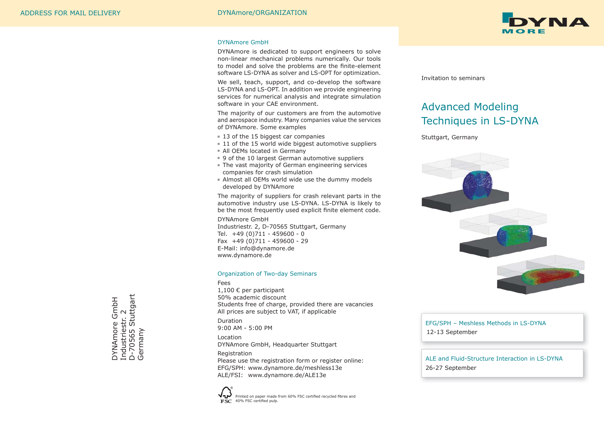

#### DYNAmore GmbH

DYNAmore is dedicated to support engineers to solve non-linear mechanical problems numerically. Our tools to model and solve the problems are the finite-element software LS-DYNA as solver and LS-OPT for optimization.

We sell, teach, support, and co-develop the software LS-DYNA and LS-OPT. In addition we provide engineering services for numerical analysis and integrate simulation software in your CAE environment.

The majority of our customers are from the automotive and aerospace industry. Many companies value the services of DYNAmore. Some examples

- 13 of the 15 biggest car companies
- 11 of the 15 world wide biggest automotive suppliers
- All OEMs located in Germany
- 9 of the 10 largest German automotive suppliers
- The vast majority of German engineering services companies for crash simulation
- Almost all OEMs world wide use the dummy models developed by DYNAmore

The majority of suppliers for crash relevant parts in the automotive industry use LS-DYNA. LS-DYNA is likely to be the most frequently used explicit finite element code.

DYNAmore GmbH Industriestr. 2, D-70565 Stuttgart, Germany Tel. +49 (0)711 - 459600 - 0 Fax +49 (0)711 - 459600 - 29 E-Mail: info@dynamore.de www.dynamore.de

#### Organization of Two-day Seminars

Fees 1,100 € per participant 50% academic discount Students free of charge, provided there are vacancies All prices are subject to VAT, if applicable Duration 9:00 AM - 5:00 PM Location DYNAmore GmbH, Headquarter Stuttgart Registration Please use the registration form or register online:

EFG/SPH: www.dynamore.de/meshless13e ALE/FSI: www.dynamore.de/ALE13e



Invitation to seminars

# Advanced Modeling Techniques in LS-DYNA

Stuttgart, Germany



EFG/SPH – Meshless Methods in LS-DYNA 12-13 September

ALE and Fluid-Structure Interaction in LS-DYNA 26-27 September

Industriestr. 2<br>D-70565 Stuttgart<br>Germany D-70565 Stuttgart DYNAmore GmbH<br>Industriestr. 2 DYNAmore GmbH Industriestr. 2